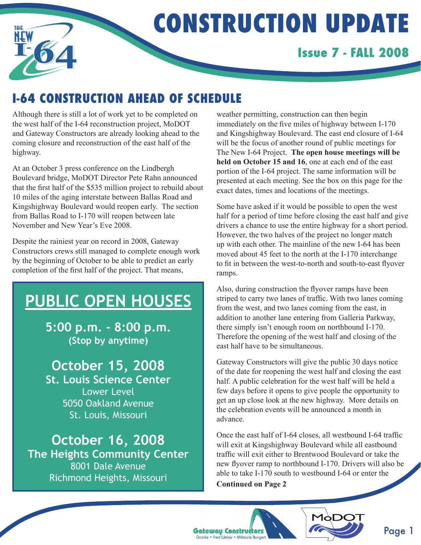

# **Construction UPDATE**

## **Issue 7 - FALL 2008**

## **I-64 Construction ahead of schedule**

Although there is still a lot of work yet to be completed on the west half of the I-64 reconstruction project, MoDOT and Gateway Constructors are already looking ahead to the coming closure and reconstruction of the east half of the highway.

At an October 3 press conference on the Lindbergh Boulevard bridge, MoDOT Director Pete Rahn announced that the first half of the \$535 million project to rebuild about 10 miles of the aging interstate between Ballas Road and Kingshighway Boulevard would reopen early. The section from Ballas Road to I-170 will reopen between late November and New Year's Eve 2008.

Despite the rainiest year on record in 2008, Gateway Constructors crews still managed to complete enough work by the beginning of October to be able to predict an early completion of the first half of the project. That means,

## **PUBLIC OPEN HOUSES**

**5:00 p.m. - 8:00 p.m. (Stop by anytime)**

**October 15, 2008 St. Louis Science Center** Lower Level 5050 Oakland Avenue St. Louis, Missouri

**October 16, 2008 The Heights Community Center**  8001 Dale Avenue Richmond Heights, Missouri

weather permitting, construction can then begin immediately on the five miles of highway between I-170 and Kingshighway Boulevard. The east end closure of I-64 will be the focus of another round of public meetings for The New I-64 Project. **The open house meetings will be held on October 15 and 16**, one at each end of the east portion of the I-64 project. The same information will be presented at each meeting. See the box on this page for the exact dates, times and locations of the meetings.

Some have asked if it would be possible to open the west half for a period of time before closing the east half and give drivers a chance to use the entire highway for a short period. However, the two halves of the project no longer match up with each other. The mainline of the new I-64 has been moved about 45 feet to the north at the I-170 interchange to fit in between the west-to-north and south-to-east flyover ramps.

Also, during construction the flyover ramps have been striped to carry two lanes of traffic. With two lanes coming from the west, and two lanes coming from the east, in addition to another lane entering from Galleria Parkway, there simply isn't enough room on northbound I-170. Therefore the opening of the west half and closing of the east half have to be simultaneous.

Gateway Constructors will give the public 30 days notice of the date for reopening the west half and closing the east half. A public celebration for the west half will be held a few days before it opens to give people the opportunity to get an up close look at the new highway. More details on the celebration events will be announced a month in advance.

Once the east half of I-64 closes, all westbound I-64 traffic will exit at Kingshighway Boulevard while all eastbound traffic will exit either to Brentwood Boulevard or take the new flyover ramp to northbound I-170. Drivers will also be able to take I-170 south to westbound I-64 or enter the

**Continued on Page 2**





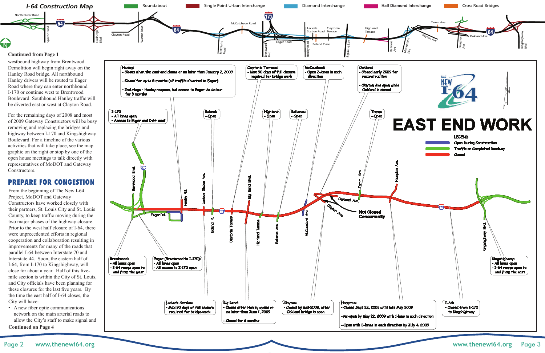